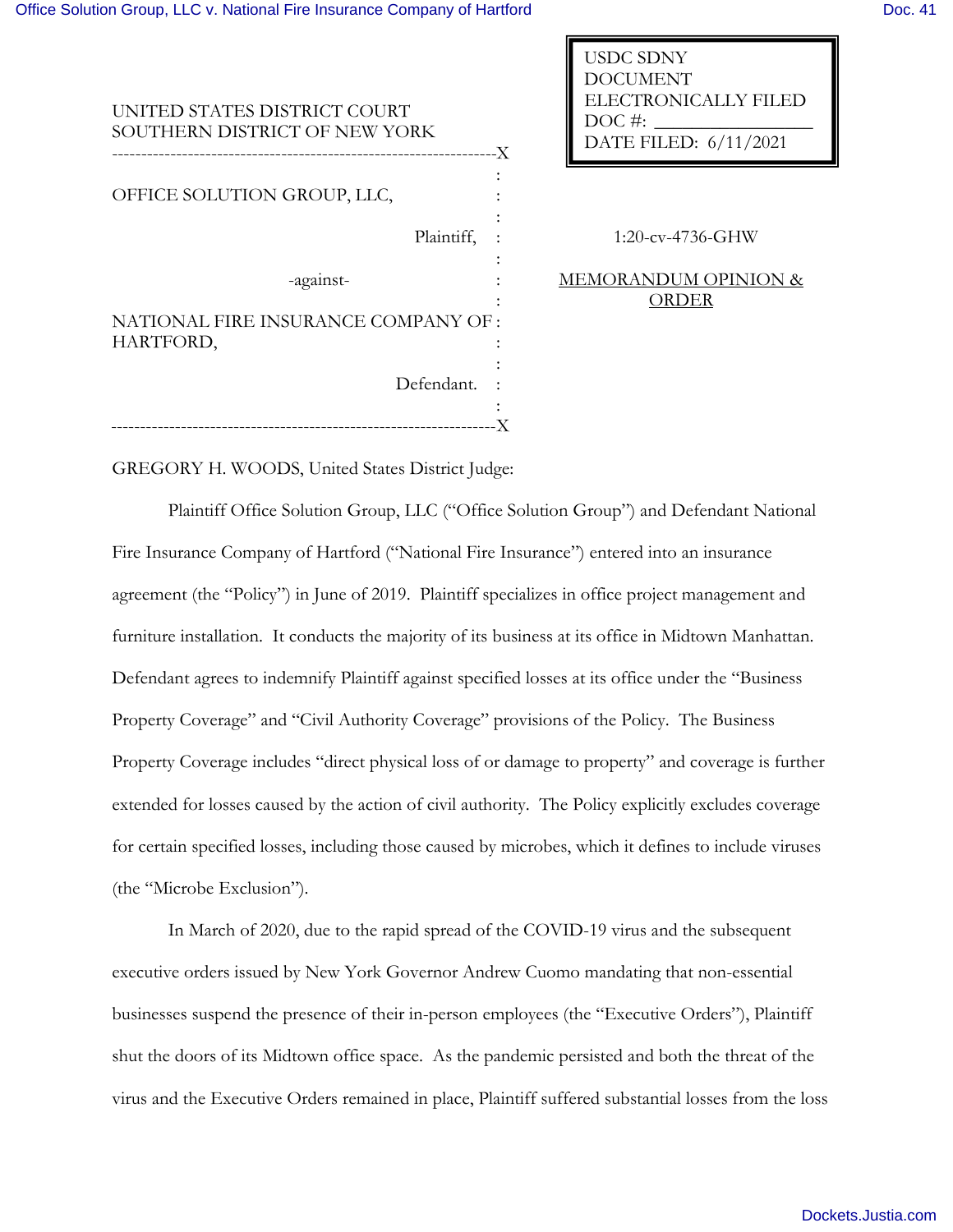| UNITED STATES DISTRICT COURT<br>SOUTHERN DISTRICT OF NEW YORK<br>--------------------------------X | ELECTRONICALLY FILE<br>$DOC\#$ :<br>DATE FILED: 6/11/2021 |
|----------------------------------------------------------------------------------------------------|-----------------------------------------------------------|
| OFFICE SOLUTION GROUP, LLC,                                                                        |                                                           |
| Plaintiff,                                                                                         | $1:20$ -cv-4736-GHW                                       |
|                                                                                                    |                                                           |
| -against-                                                                                          | <b>MEMORANDUM OPINION</b>                                 |
|                                                                                                    | <b>ORDER</b>                                              |
| NATIONAL FIRE INSURANCE COMPANY OF :                                                               |                                                           |
| HARTFORD,                                                                                          |                                                           |
|                                                                                                    |                                                           |
| Defendant.                                                                                         |                                                           |
|                                                                                                    |                                                           |
|                                                                                                    |                                                           |

ELECTRONICALLY FILED

USDC SDNY DOCUMENT

EMORANDUM OPINION & ORDER

GREGORY H. WOODS, United States District Judge:

Plaintiff Office Solution Group, LLC ("Office Solution Group") and Defendant National Fire Insurance Company of Hartford ("National Fire Insurance") entered into an insurance agreement (the "Policy") in June of 2019. Plaintiff specializes in office project management and furniture installation. It conducts the majority of its business at its office in Midtown Manhattan. Defendant agrees to indemnify Plaintiff against specified losses at its office under the "Business Property Coverage" and "Civil Authority Coverage" provisions of the Policy. The Business Property Coverage includes "direct physical loss of or damage to property" and coverage is further extended for losses caused by the action of civil authority. The Policy explicitly excludes coverage for certain specified losses, including those caused by microbes, which it defines to include viruses (the "Microbe Exclusion").

In March of 2020, due to the rapid spread of the COVID-19 virus and the subsequent executive orders issued by New York Governor Andrew Cuomo mandating that non-essential businesses suspend the presence of their in-person employees (the "Executive Orders"), Plaintiff shut the doors of its Midtown office space. As the pandemic persisted and both the threat of the virus and the Executive Orders remained in place, Plaintiff suffered substantial losses from the loss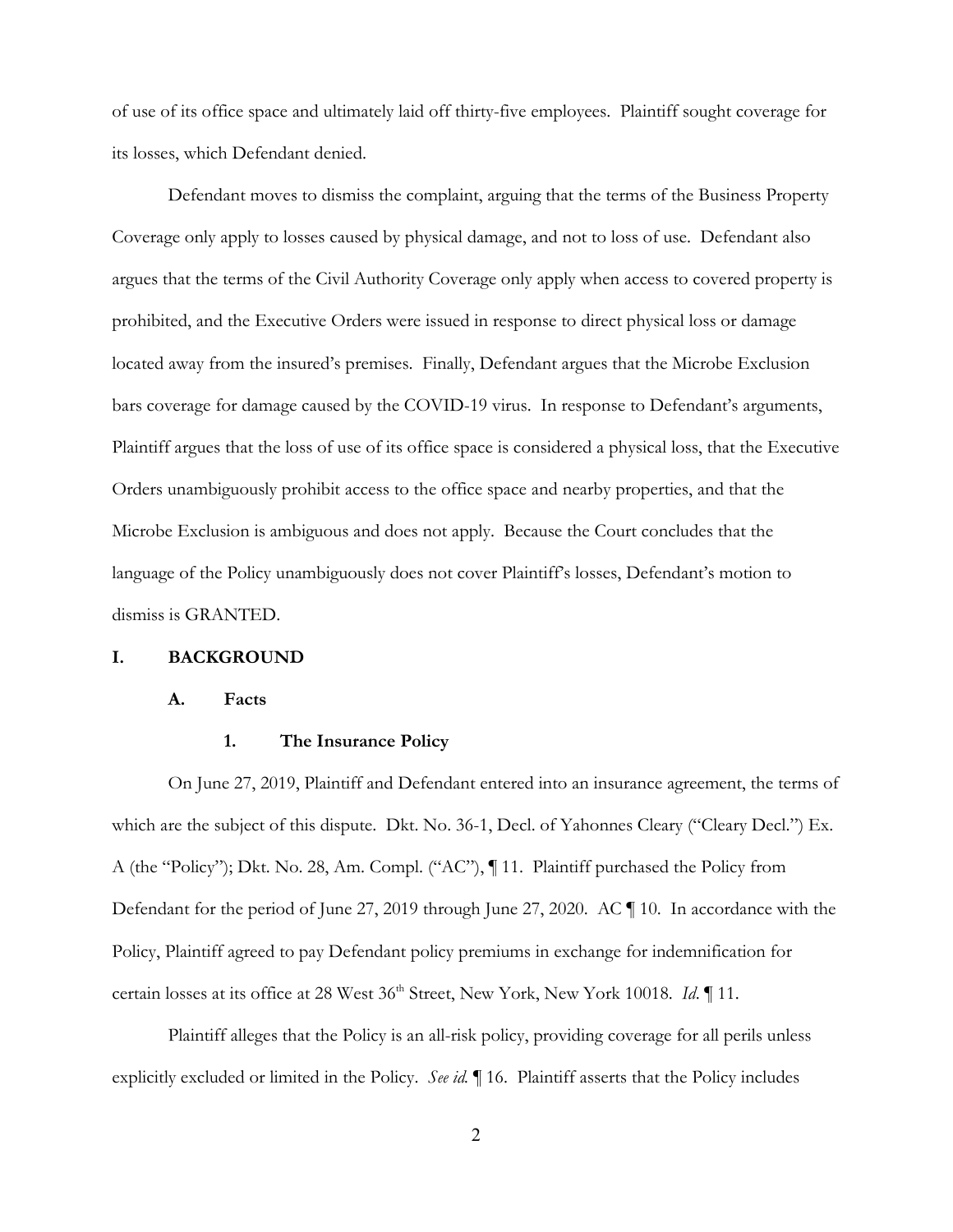of use of its office space and ultimately laid off thirty-five employees. Plaintiff sought coverage for its losses, which Defendant denied.

 Defendant moves to dismiss the complaint, arguing that the terms of the Business Property Coverage only apply to losses caused by physical damage, and not to loss of use. Defendant also argues that the terms of the Civil Authority Coverage only apply when access to covered property is prohibited, and the Executive Orders were issued in response to direct physical loss or damage located away from the insured's premises. Finally, Defendant argues that the Microbe Exclusion bars coverage for damage caused by the COVID-19 virus. In response to Defendant's arguments, Plaintiff argues that the loss of use of its office space is considered a physical loss, that the Executive Orders unambiguously prohibit access to the office space and nearby properties, and that the Microbe Exclusion is ambiguous and does not apply. Because the Court concludes that the language of the Policy unambiguously does not cover Plaintiff's losses, Defendant's motion to dismiss is GRANTED.

#### **I. BACKGROUND**

#### **A. Facts**

#### **1. The Insurance Policy**

 On June 27, 2019, Plaintiff and Defendant entered into an insurance agreement, the terms of which are the subject of this dispute. Dkt. No. 36-1, Decl. of Yahonnes Cleary ("Cleary Decl.") Ex. A (the "Policy"); Dkt. No. 28, Am. Compl. ("AC"), ¶ 11. Plaintiff purchased the Policy from Defendant for the period of June 27, 2019 through June 27, 2020. AC ¶ 10. In accordance with the Policy, Plaintiff agreed to pay Defendant policy premiums in exchange for indemnification for certain losses at its office at 28 West 36<sup>th</sup> Street, New York, New York 10018. *Id.* 11.

Plaintiff alleges that the Policy is an all-risk policy, providing coverage for all perils unless explicitly excluded or limited in the Policy. *See id.* ¶ 16. Plaintiff asserts that the Policy includes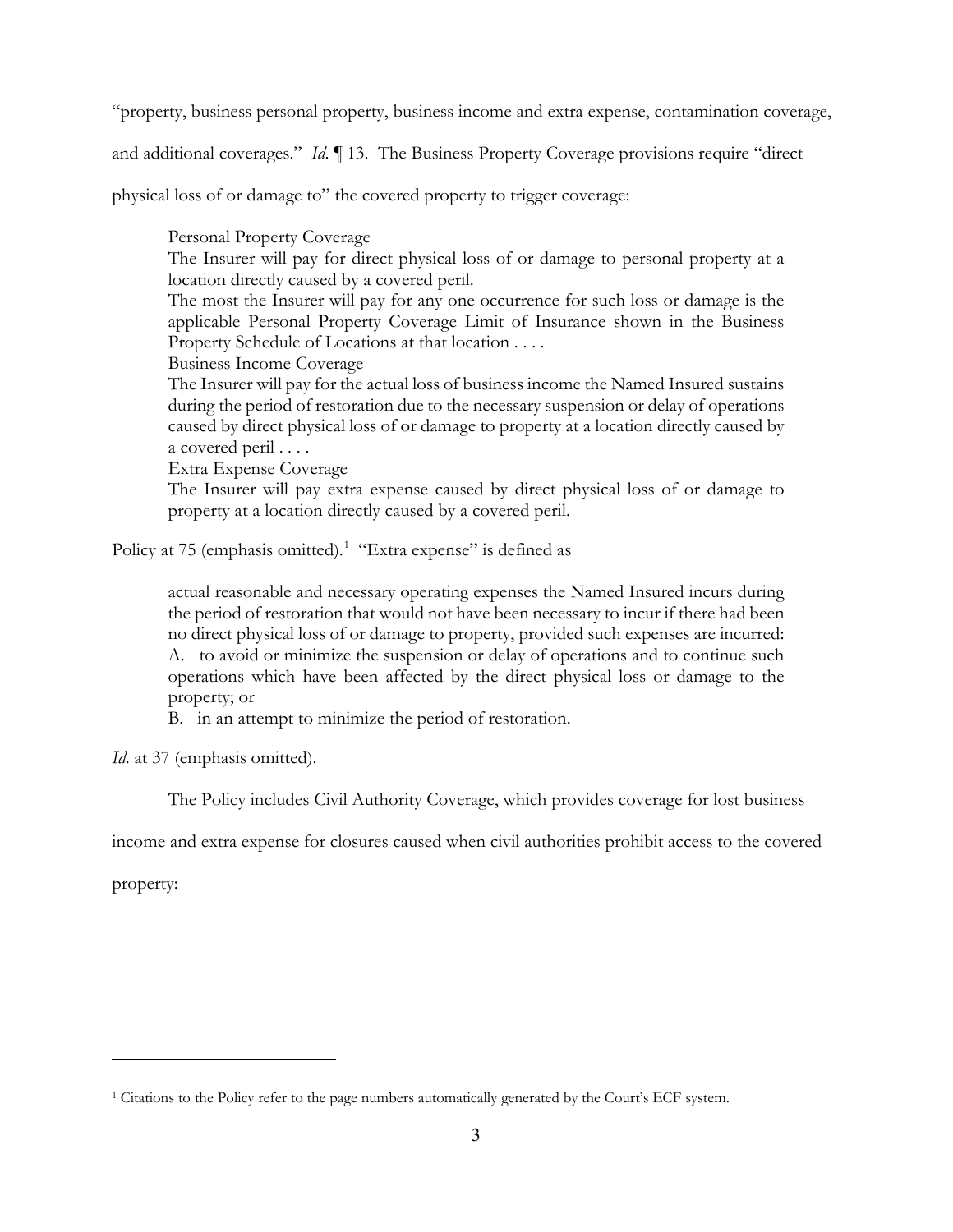"property, business personal property, business income and extra expense, contamination coverage,

and additional coverages." *Id*. ¶ 13. The Business Property Coverage provisions require "direct

physical loss of or damage to" the covered property to trigger coverage:

Personal Property Coverage The Insurer will pay for direct physical loss of or damage to personal property at a location directly caused by a covered peril. The most the Insurer will pay for any one occurrence for such loss or damage is the applicable Personal Property Coverage Limit of Insurance shown in the Business Property Schedule of Locations at that location . . . . Business Income Coverage The Insurer will pay for the actual loss of business income the Named Insured sustains during the period of restoration due to the necessary suspension or delay of operations caused by direct physical loss of or damage to property at a location directly caused by a covered peril . . . . Extra Expense Coverage

The Insurer will pay extra expense caused by direct physical loss of or damage to property at a location directly caused by a covered peril.

Policy at 75 (emphasis omitted).<sup>1</sup> "Extra expense" is defined as

actual reasonable and necessary operating expenses the Named Insured incurs during the period of restoration that would not have been necessary to incur if there had been no direct physical loss of or damage to property, provided such expenses are incurred: A. to avoid or minimize the suspension or delay of operations and to continue such operations which have been affected by the direct physical loss or damage to the property; or

B. in an attempt to minimize the period of restoration.

*Id*. at 37 (emphasis omitted).

The Policy includes Civil Authority Coverage, which provides coverage for lost business

income and extra expense for closures caused when civil authorities prohibit access to the covered

property:

-

<sup>1</sup> Citations to the Policy refer to the page numbers automatically generated by the Court's ECF system.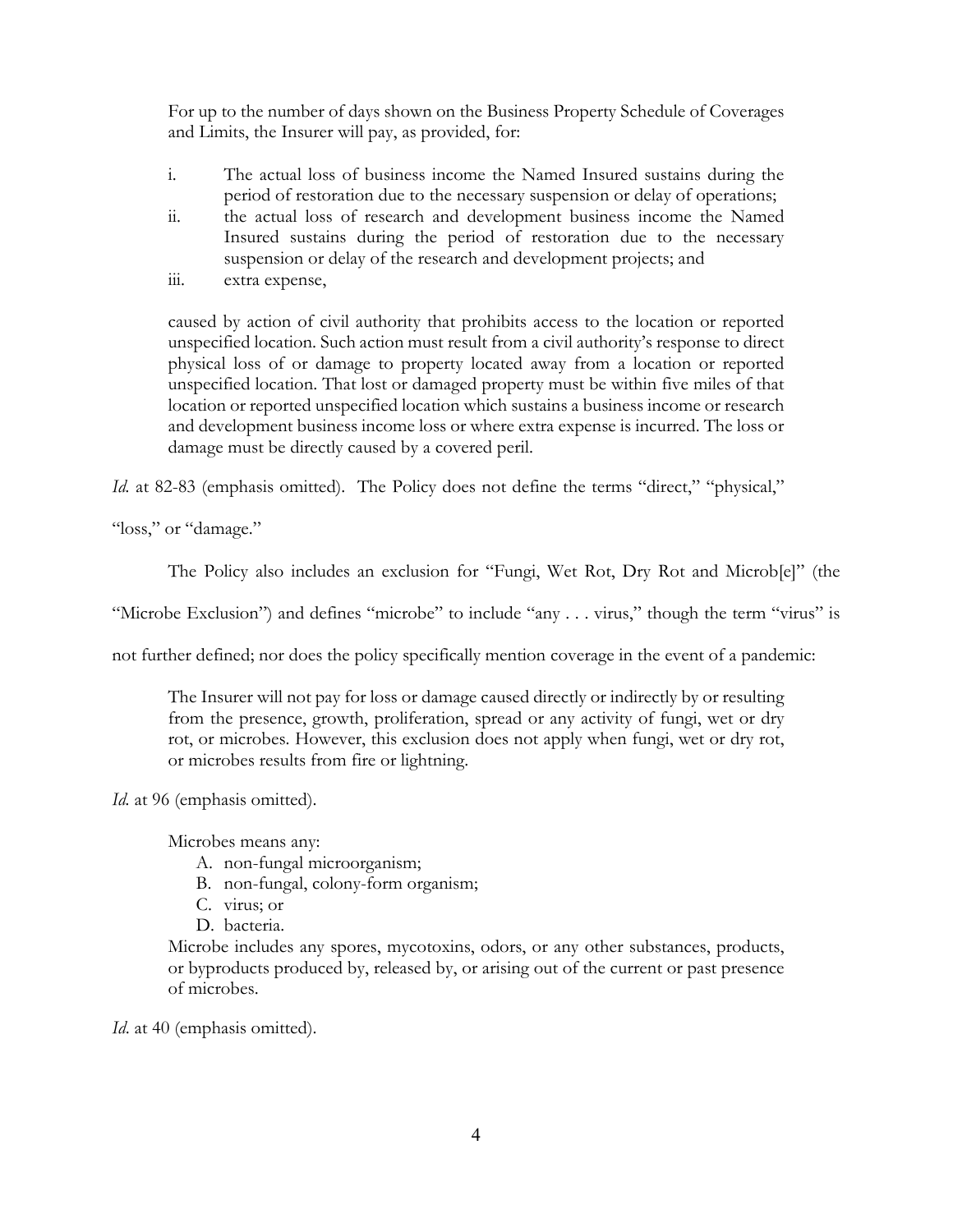For up to the number of days shown on the Business Property Schedule of Coverages and Limits, the Insurer will pay, as provided, for:

- i. The actual loss of business income the Named Insured sustains during the period of restoration due to the necessary suspension or delay of operations;
- ii. the actual loss of research and development business income the Named Insured sustains during the period of restoration due to the necessary suspension or delay of the research and development projects; and
- iii. extra expense,

caused by action of civil authority that prohibits access to the location or reported unspecified location. Such action must result from a civil authority's response to direct physical loss of or damage to property located away from a location or reported unspecified location. That lost or damaged property must be within five miles of that location or reported unspecified location which sustains a business income or research and development business income loss or where extra expense is incurred. The loss or damage must be directly caused by a covered peril.

Id. at 82-83 (emphasis omitted). The Policy does not define the terms "direct," "physical,"

"loss," or "damage."

The Policy also includes an exclusion for "Fungi, Wet Rot, Dry Rot and Microb[e]" (the

"Microbe Exclusion") and defines "microbe" to include "any . . . virus," though the term "virus" is

not further defined; nor does the policy specifically mention coverage in the event of a pandemic:

The Insurer will not pay for loss or damage caused directly or indirectly by or resulting from the presence, growth, proliferation, spread or any activity of fungi, wet or dry rot, or microbes. However, this exclusion does not apply when fungi, wet or dry rot, or microbes results from fire or lightning.

*Id.* at 96 (emphasis omitted).

Microbes means any:

- A. non-fungal microorganism;
- B. non-fungal, colony-form organism;
- C. virus; or
- D. bacteria.

Microbe includes any spores, mycotoxins, odors, or any other substances, products, or byproducts produced by, released by, or arising out of the current or past presence of microbes.

*Id.* at 40 (emphasis omitted).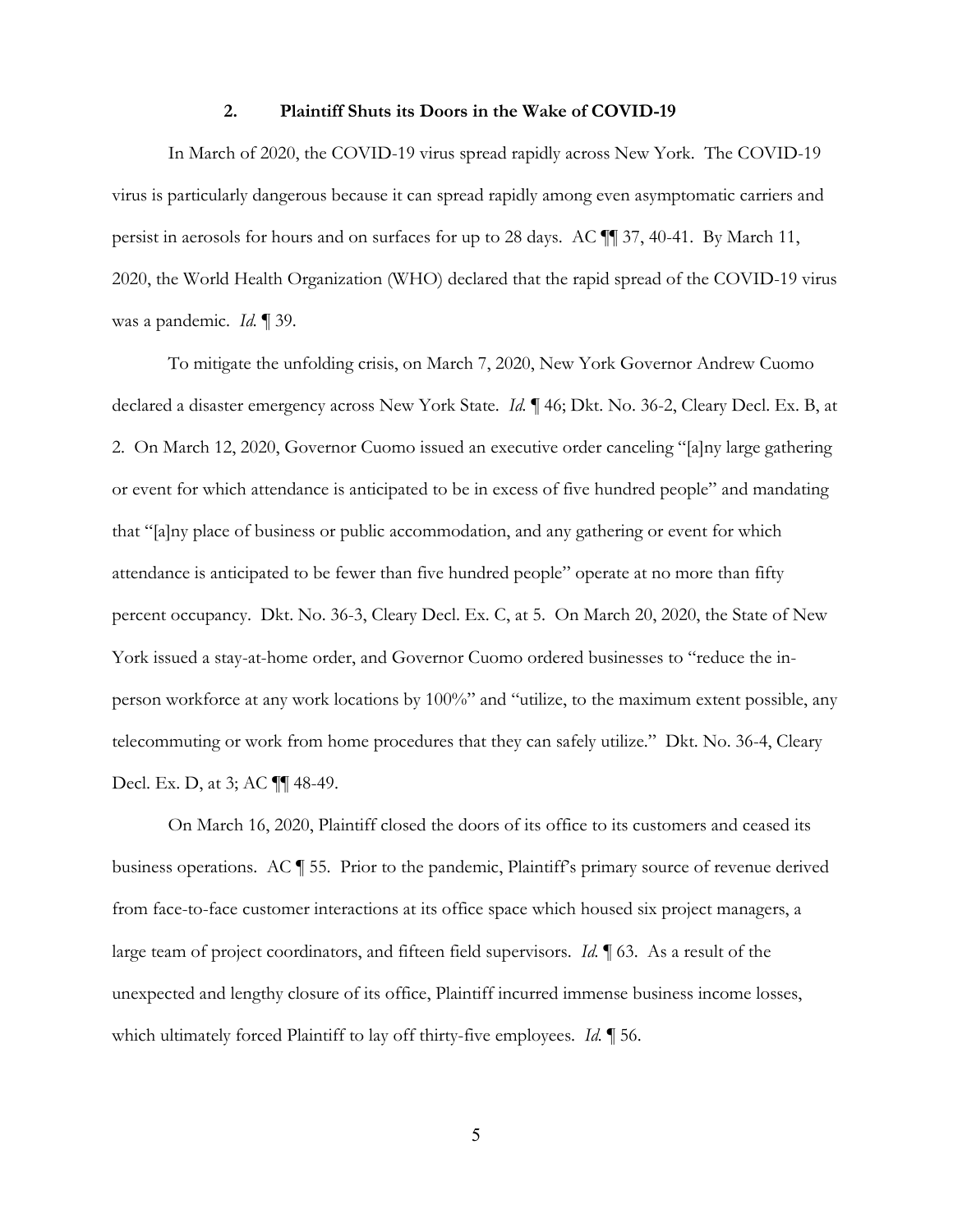#### **2. Plaintiff Shuts its Doors in the Wake of COVID-19**

In March of 2020, the COVID-19 virus spread rapidly across New York. The COVID-19 virus is particularly dangerous because it can spread rapidly among even asymptomatic carriers and persist in aerosols for hours and on surfaces for up to 28 days. AC ¶¶ 37, 40-41. By March 11, 2020, the World Health Organization (WHO) declared that the rapid spread of the COVID-19 virus was a pandemic. *Id.* ¶ 39.

 To mitigate the unfolding crisis, on March 7, 2020, New York Governor Andrew Cuomo declared a disaster emergency across New York State. *Id.* ¶ 46; Dkt. No. 36-2, Cleary Decl. Ex. B, at 2. On March 12, 2020, Governor Cuomo issued an executive order canceling "[a]ny large gathering or event for which attendance is anticipated to be in excess of five hundred people" and mandating that "[a]ny place of business or public accommodation, and any gathering or event for which attendance is anticipated to be fewer than five hundred people" operate at no more than fifty percent occupancy. Dkt. No. 36-3, Cleary Decl. Ex. C, at 5. On March 20, 2020, the State of New York issued a stay-at-home order, and Governor Cuomo ordered businesses to "reduce the inperson workforce at any work locations by 100%" and "utilize, to the maximum extent possible, any telecommuting or work from home procedures that they can safely utilize." Dkt. No. 36-4, Cleary Decl. Ex. D, at 3; AC ¶¶ 48-49.

On March 16, 2020, Plaintiff closed the doors of its office to its customers and ceased its business operations. AC ¶ 55. Prior to the pandemic, Plaintiff's primary source of revenue derived from face-to-face customer interactions at its office space which housed six project managers, a large team of project coordinators, and fifteen field supervisors. *Id.* ¶ 63. As a result of the unexpected and lengthy closure of its office, Plaintiff incurred immense business income losses, which ultimately forced Plaintiff to lay off thirty-five employees. *Id.* ¶ 56.

5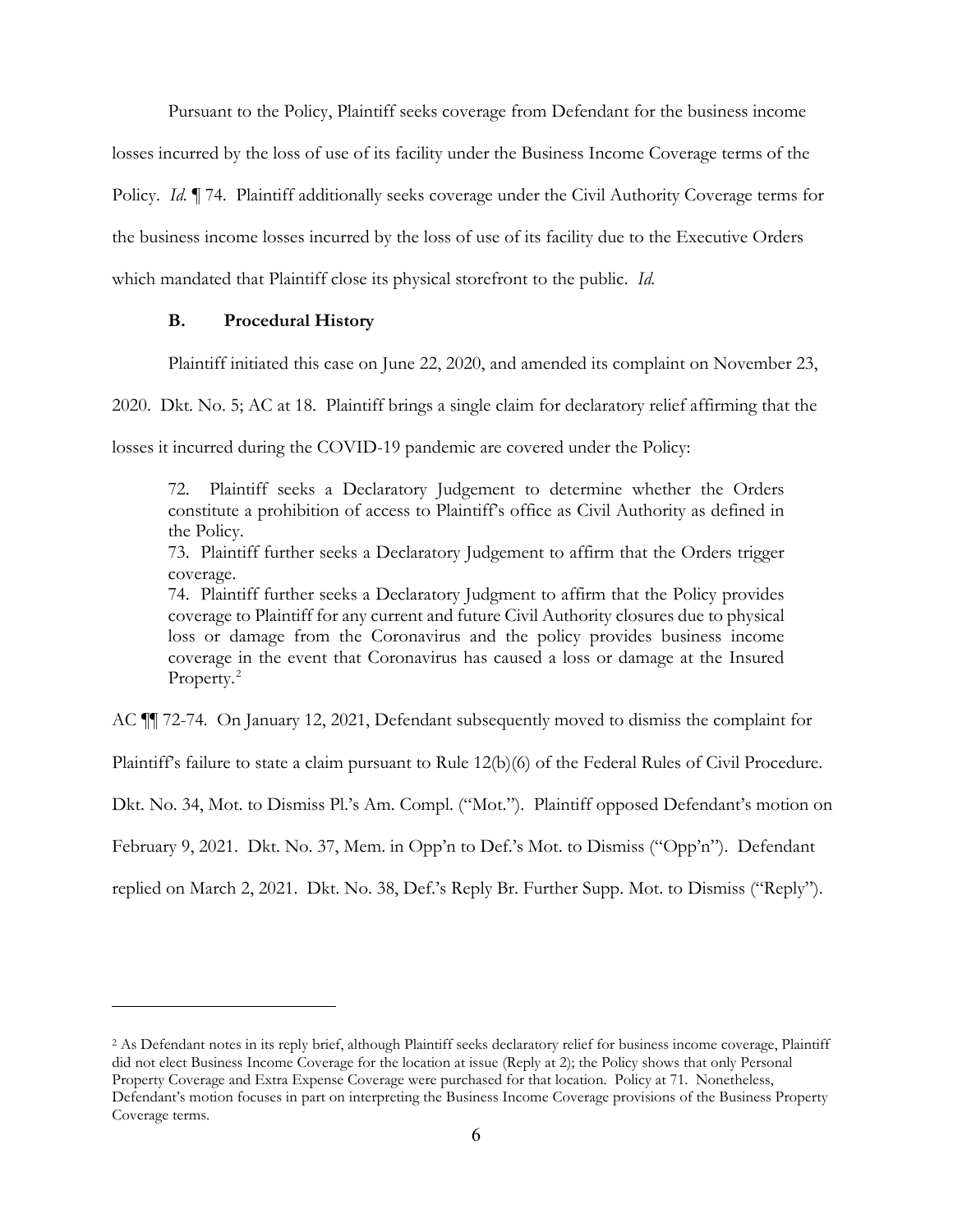Pursuant to the Policy, Plaintiff seeks coverage from Defendant for the business income losses incurred by the loss of use of its facility under the Business Income Coverage terms of the Policy. *Id.* ¶ 74. Plaintiff additionally seeks coverage under the Civil Authority Coverage terms for the business income losses incurred by the loss of use of its facility due to the Executive Orders which mandated that Plaintiff close its physical storefront to the public. *Id.*

#### **B. Procedural History**

 $\overline{a}$ 

Plaintiff initiated this case on June 22, 2020, and amended its complaint on November 23,

2020. Dkt. No. 5; AC at 18. Plaintiff brings a single claim for declaratory relief affirming that the

losses it incurred during the COVID-19 pandemic are covered under the Policy:

72. Plaintiff seeks a Declaratory Judgement to determine whether the Orders constitute a prohibition of access to Plaintiff's office as Civil Authority as defined in the Policy.

73. Plaintiff further seeks a Declaratory Judgement to affirm that the Orders trigger coverage.

74. Plaintiff further seeks a Declaratory Judgment to affirm that the Policy provides coverage to Plaintiff for any current and future Civil Authority closures due to physical loss or damage from the Coronavirus and the policy provides business income coverage in the event that Coronavirus has caused a loss or damage at the Insured Property.<sup>2</sup>

AC ¶¶ 72-74. On January 12, 2021, Defendant subsequently moved to dismiss the complaint for

Plaintiff's failure to state a claim pursuant to Rule 12(b)(6) of the Federal Rules of Civil Procedure.

Dkt. No. 34, Mot. to Dismiss Pl.'s Am. Compl. ("Mot."). Plaintiff opposed Defendant's motion on

February 9, 2021. Dkt. No. 37, Mem. in Opp'n to Def.'s Mot. to Dismiss ("Opp'n"). Defendant

replied on March 2, 2021. Dkt. No. 38, Def.'s Reply Br. Further Supp. Mot. to Dismiss ("Reply").

<sup>&</sup>lt;sup>2</sup> As Defendant notes in its reply brief, although Plaintiff seeks declaratory relief for business income coverage, Plaintiff did not elect Business Income Coverage for the location at issue (Reply at 2); the Policy shows that only Personal Property Coverage and Extra Expense Coverage were purchased for that location. Policy at 71. Nonetheless, Defendant's motion focuses in part on interpreting the Business Income Coverage provisions of the Business Property Coverage terms.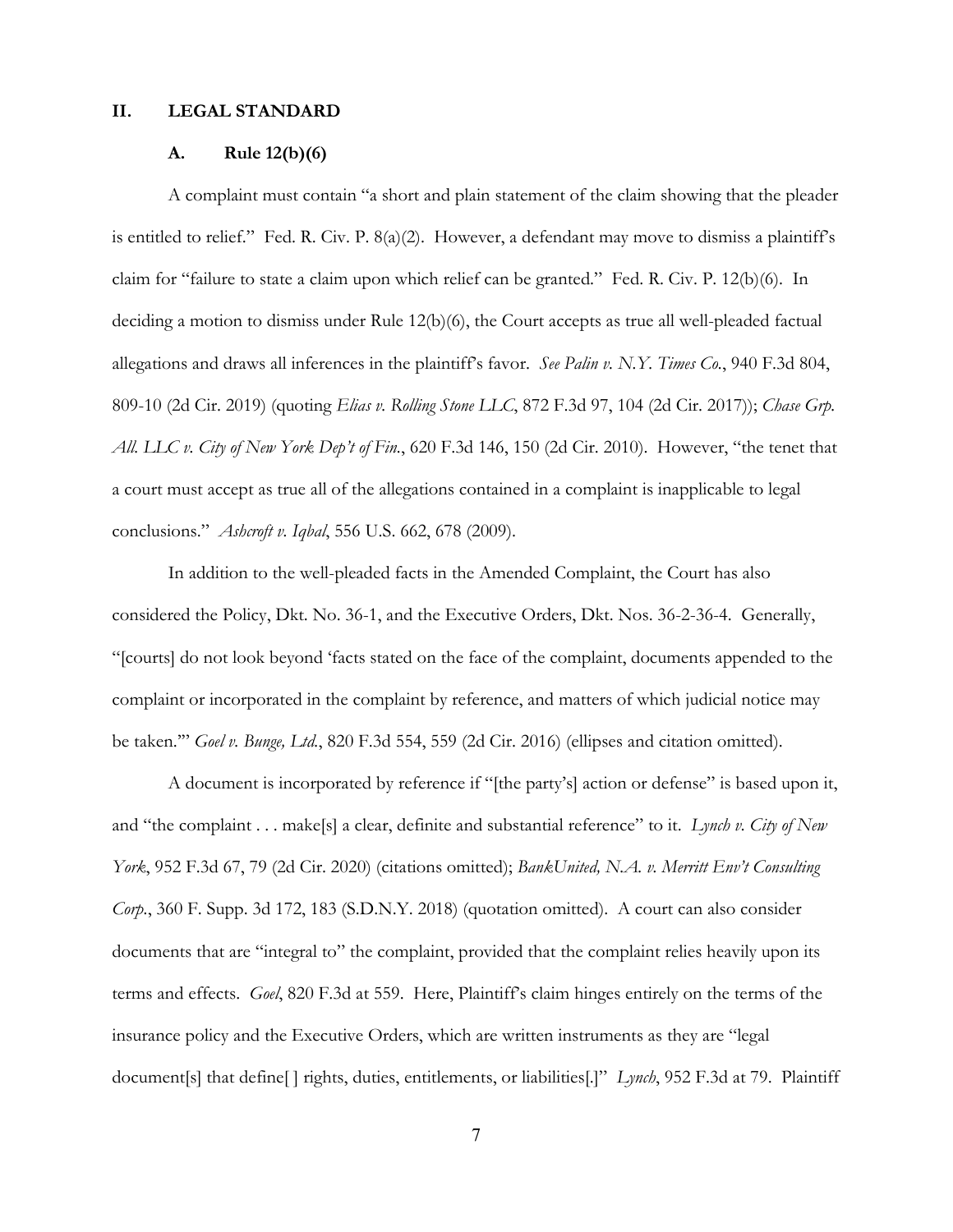### **II. LEGAL STANDARD**

# **A. Rule 12(b)(6)**

 A complaint must contain "a short and plain statement of the claim showing that the pleader is entitled to relief." Fed. R. Civ. P. 8(a)(2). However, a defendant may move to dismiss a plaintiff's claim for "failure to state a claim upon which relief can be granted." Fed. R. Civ. P. 12(b)(6). In deciding a motion to dismiss under Rule 12(b)(6), the Court accepts as true all well-pleaded factual allegations and draws all inferences in the plaintiff's favor. *See Palin v. N.Y. Times Co.*, 940 F.3d 804, 809-10 (2d Cir. 2019) (quoting *Elias v. Rolling Stone LLC*, 872 F.3d 97, 104 (2d Cir. 2017)); *Chase Grp. All. LLC v. City of New York Dep't of Fin.*, 620 F.3d 146, 150 (2d Cir. 2010). However, "the tenet that a court must accept as true all of the allegations contained in a complaint is inapplicable to legal conclusions." *Ashcroft v. Iqbal*, 556 U.S. 662, 678 (2009).

 In addition to the well-pleaded facts in the Amended Complaint, the Court has also considered the Policy, Dkt. No. 36-1, and the Executive Orders, Dkt. Nos. 36-2-36-4. Generally, "[courts] do not look beyond 'facts stated on the face of the complaint, documents appended to the complaint or incorporated in the complaint by reference, and matters of which judicial notice may be taken.'" *Goel v. Bunge, Ltd.*, 820 F.3d 554, 559 (2d Cir. 2016) (ellipses and citation omitted).

 A document is incorporated by reference if "[the party's] action or defense" is based upon it, and "the complaint . . . make[s] a clear, definite and substantial reference" to it. *Lynch v. City of New York*, 952 F.3d 67, 79 (2d Cir. 2020) (citations omitted); *BankUnited, N.A. v. Merritt Env't Consulting Corp.*, 360 F. Supp. 3d 172, 183 (S.D.N.Y. 2018) (quotation omitted). A court can also consider documents that are "integral to" the complaint, provided that the complaint relies heavily upon its terms and effects. *Goel*, 820 F.3d at 559. Here, Plaintiff's claim hinges entirely on the terms of the insurance policy and the Executive Orders, which are written instruments as they are "legal document[s] that define[ ] rights, duties, entitlements, or liabilities[.]" *Lynch*, 952 F.3d at 79.Plaintiff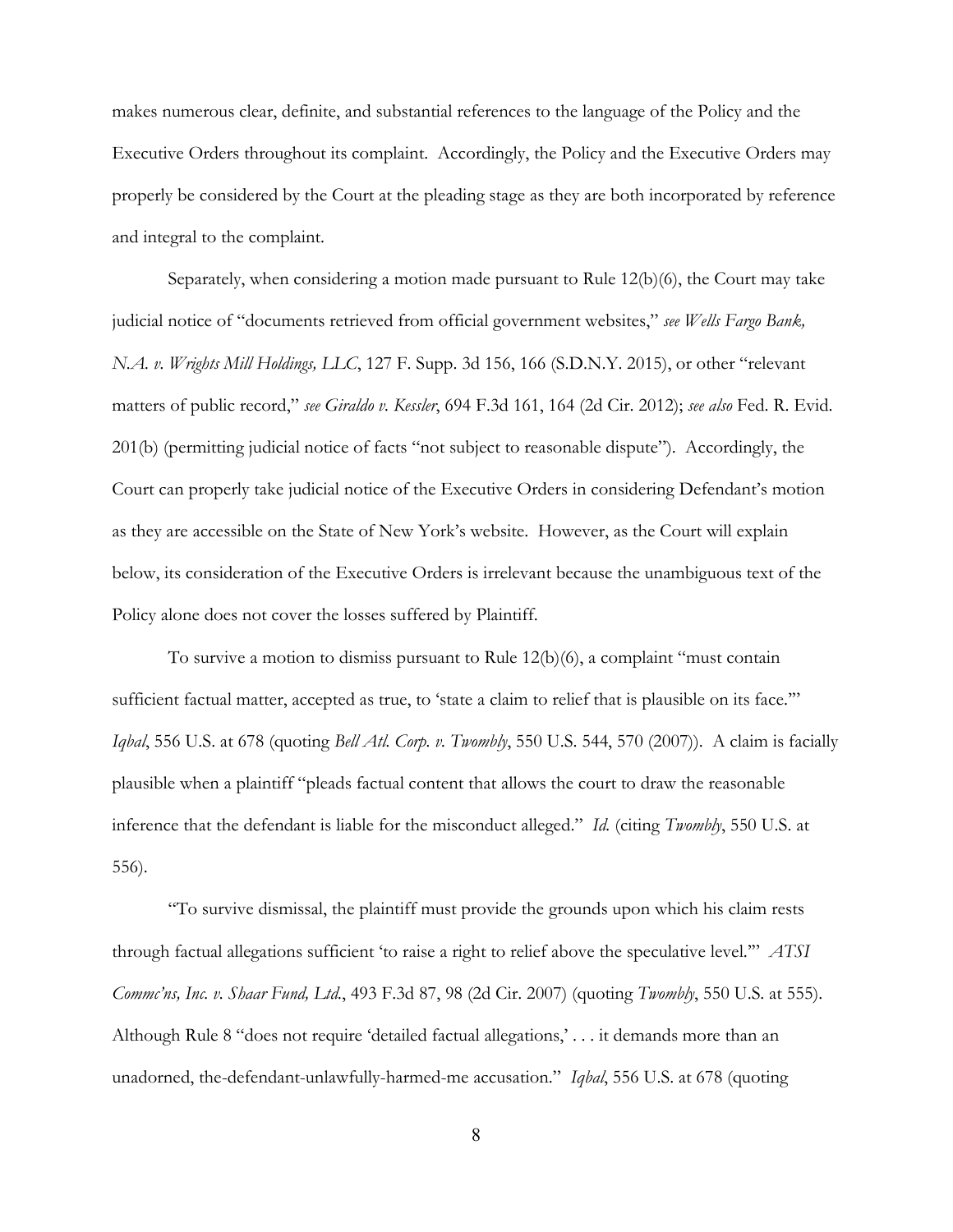makes numerous clear, definite, and substantial references to the language of the Policy and the Executive Orders throughout its complaint. Accordingly, the Policy and the Executive Orders may properly be considered by the Court at the pleading stage as they are both incorporated by reference and integral to the complaint.

 Separately, when considering a motion made pursuant to Rule 12(b)(6), the Court may take judicial notice of "documents retrieved from official government websites," *see Wells Fargo Bank, N.A. v. Wrights Mill Holdings, LLC*, 127 F. Supp. 3d 156, 166 (S.D.N.Y. 2015), or other "relevant matters of public record," *see Giraldo v. Kessler*, 694 F.3d 161, 164 (2d Cir. 2012); *see also* Fed. R. Evid. 201(b) (permitting judicial notice of facts "not subject to reasonable dispute"). Accordingly, the Court can properly take judicial notice of the Executive Orders in considering Defendant's motion as they are accessible on the State of New York's website. However, as the Court will explain below, its consideration of the Executive Orders is irrelevant because the unambiguous text of the Policy alone does not cover the losses suffered by Plaintiff.

 To survive a motion to dismiss pursuant to Rule 12(b)(6), a complaint "must contain sufficient factual matter, accepted as true, to 'state a claim to relief that is plausible on its face."" *Iqbal*, 556 U.S. at 678 (quoting *Bell Atl. Corp. v. Twombly*, 550 U.S. 544, 570 (2007)). A claim is facially plausible when a plaintiff "pleads factual content that allows the court to draw the reasonable inference that the defendant is liable for the misconduct alleged." *Id.* (citing *Twombly*, 550 U.S. at 556).

 "To survive dismissal, the plaintiff must provide the grounds upon which his claim rests through factual allegations sufficient 'to raise a right to relief above the speculative level.'" *ATSI Commc'ns, Inc. v. Shaar Fund, Ltd.*, 493 F.3d 87, 98 (2d Cir. 2007) (quoting *Twombly*, 550 U.S. at 555). Although Rule 8 "does not require 'detailed factual allegations,' . . . it demands more than an unadorned, the-defendant-unlawfully-harmed-me accusation." *Iqbal*, 556 U.S. at 678 (quoting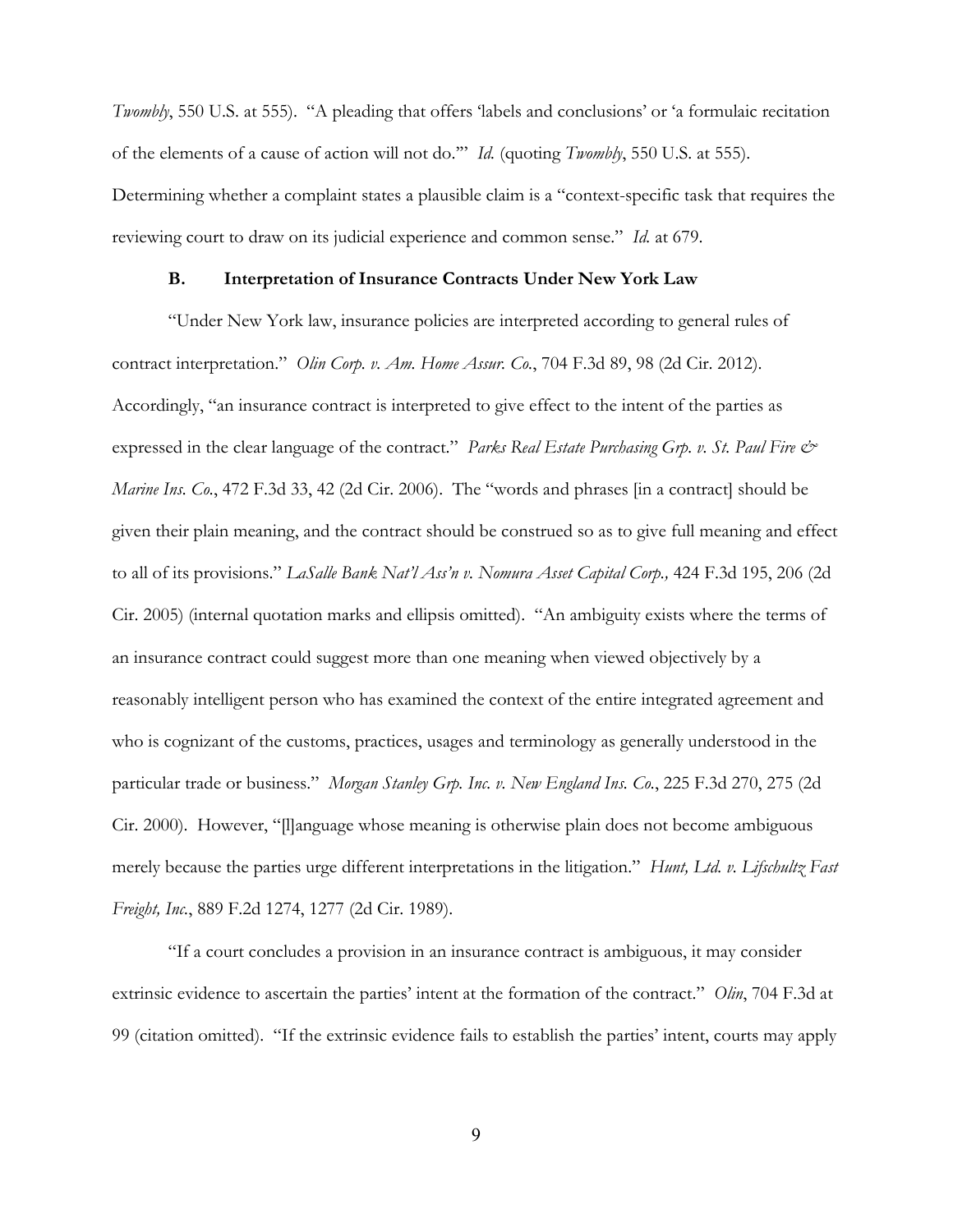*Twombly*, 550 U.S. at 555). "A pleading that offers 'labels and conclusions' or 'a formulaic recitation of the elements of a cause of action will not do.'" *Id.* (quoting *Twombly*, 550 U.S. at 555). Determining whether a complaint states a plausible claim is a "context-specific task that requires the reviewing court to draw on its judicial experience and common sense." *Id.* at 679.

#### **B. Interpretation of Insurance Contracts Under New York Law**

 "Under New York law, insurance policies are interpreted according to general rules of contract interpretation." *Olin Corp. v. Am. Home Assur. Co.*, 704 F.3d 89, 98 (2d Cir. 2012). Accordingly, "an insurance contract is interpreted to give effect to the intent of the parties as expressed in the clear language of the contract." *Parks Real Estate Purchasing Grp. v. St. Paul Fire*  $\dot{\mathcal{O}}$ *Marine Ins. Co.*, 472 F.3d 33, 42 (2d Cir. 2006). The "words and phrases [in a contract] should be given their plain meaning, and the contract should be construed so as to give full meaning and effect to all of its provisions." *LaSalle Bank Nat'l Ass'n v. Nomura Asset Capital Corp.,* 424 F.3d 195, 206 (2d Cir. 2005) (internal quotation marks and ellipsis omitted). "An ambiguity exists where the terms of an insurance contract could suggest more than one meaning when viewed objectively by a reasonably intelligent person who has examined the context of the entire integrated agreement and who is cognizant of the customs, practices, usages and terminology as generally understood in the particular trade or business." *Morgan Stanley Grp. Inc. v. New England Ins. Co.*, 225 F.3d 270, 275 (2d Cir. 2000). However, "[l]anguage whose meaning is otherwise plain does not become ambiguous merely because the parties urge different interpretations in the litigation." *Hunt, Ltd. v. Lifschultz Fast Freight, Inc.*, 889 F.2d 1274, 1277 (2d Cir. 1989).

 "If a court concludes a provision in an insurance contract is ambiguous, it may consider extrinsic evidence to ascertain the parties' intent at the formation of the contract." *Olin*, 704 F.3d at 99 (citation omitted). "If the extrinsic evidence fails to establish the parties' intent, courts may apply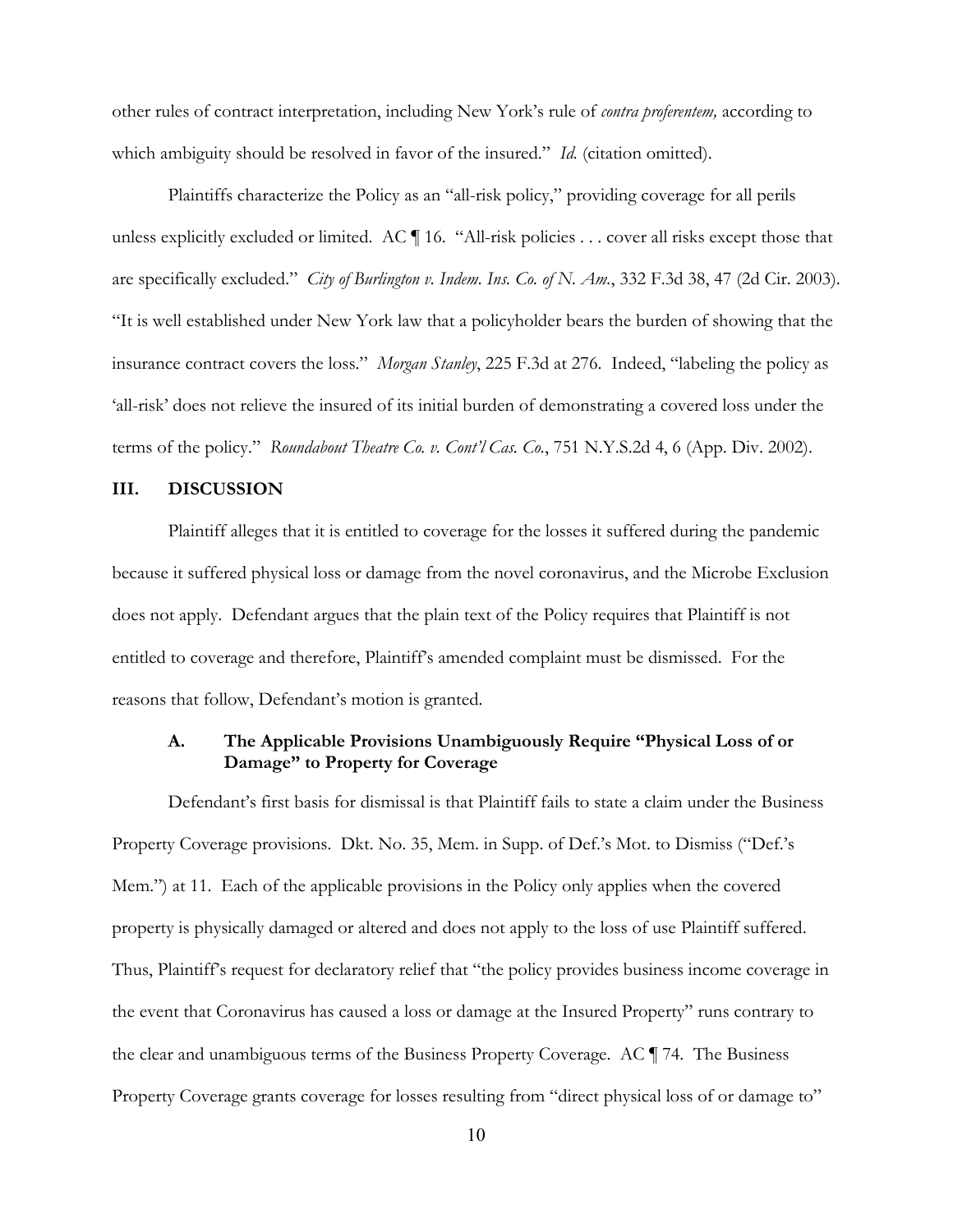other rules of contract interpretation, including New York's rule of *contra proferentem,* according to which ambiguity should be resolved in favor of the insured." *Id.* (citation omitted).

Plaintiffs characterize the Policy as an "all-risk policy," providing coverage for all perils unless explicitly excluded or limited. AC ¶ 16. "All-risk policies . . . cover all risks except those that are specifically excluded." *City of Burlington v. Indem. Ins. Co. of N. Am.*, 332 F.3d 38, 47 (2d Cir. 2003). "It is well established under New York law that a policyholder bears the burden of showing that the insurance contract covers the loss." *Morgan Stanley*, 225 F.3d at 276. Indeed, "labeling the policy as 'all-risk' does not relieve the insured of its initial burden of demonstrating a covered loss under the terms of the policy." *Roundabout Theatre Co. v. Cont'l Cas. Co.*, 751 N.Y.S.2d 4, 6 (App. Div. 2002).

### **III. DISCUSSION**

Plaintiff alleges that it is entitled to coverage for the losses it suffered during the pandemic because it suffered physical loss or damage from the novel coronavirus, and the Microbe Exclusion does not apply. Defendant argues that the plain text of the Policy requires that Plaintiff is not entitled to coverage and therefore, Plaintiff's amended complaint must be dismissed. For the reasons that follow, Defendant's motion is granted.

# **A. The Applicable Provisions Unambiguously Require "Physical Loss of or Damage" to Property for Coverage**

Defendant's first basis for dismissal is that Plaintiff fails to state a claim under the Business Property Coverage provisions. Dkt. No. 35, Mem. in Supp. of Def.'s Mot. to Dismiss ("Def.'s Mem.") at 11. Each of the applicable provisions in the Policy only applies when the covered property is physically damaged or altered and does not apply to the loss of use Plaintiff suffered. Thus, Plaintiff's request for declaratory relief that "the policy provides business income coverage in the event that Coronavirus has caused a loss or damage at the Insured Property" runs contrary to the clear and unambiguous terms of the Business Property Coverage. AC ¶ 74. The Business Property Coverage grants coverage for losses resulting from "direct physical loss of or damage to"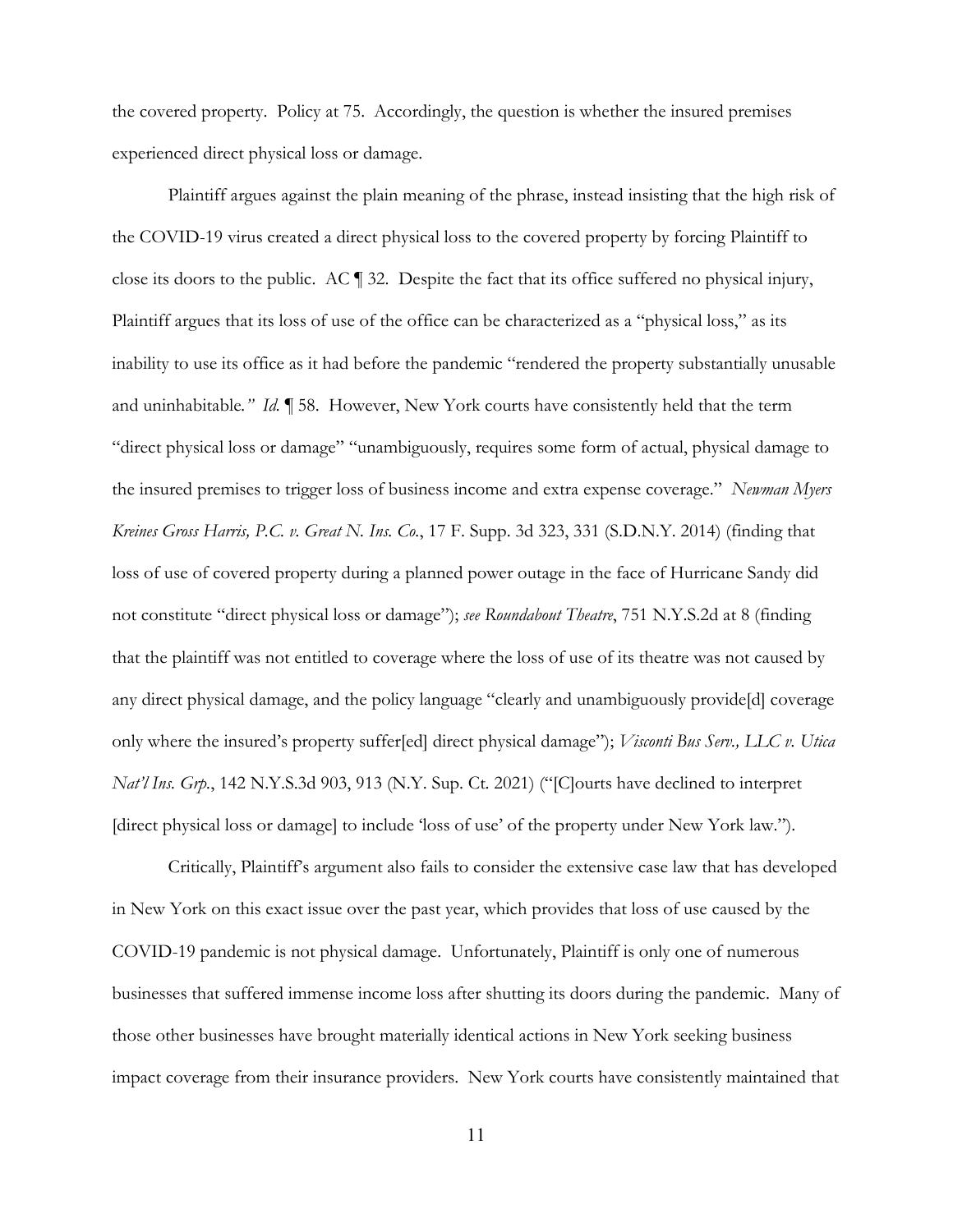the covered property. Policy at 75. Accordingly, the question is whether the insured premises experienced direct physical loss or damage.

Plaintiff argues against the plain meaning of the phrase, instead insisting that the high risk of the COVID-19 virus created a direct physical loss to the covered property by forcing Plaintiff to close its doors to the public. AC ¶ 32. Despite the fact that its office suffered no physical injury, Plaintiff argues that its loss of use of the office can be characterized as a "physical loss," as its inability to use its office as it had before the pandemic "rendered the property substantially unusable and uninhabitable*." Id.* ¶ 58. However, New York courts have consistently held that the term "direct physical loss or damage" "unambiguously, requires some form of actual, physical damage to the insured premises to trigger loss of business income and extra expense coverage." *Newman Myers Kreines Gross Harris, P.C. v. Great N. Ins. Co.*, 17 F. Supp. 3d 323, 331 (S.D.N.Y. 2014) (finding that loss of use of covered property during a planned power outage in the face of Hurricane Sandy did not constitute "direct physical loss or damage"); *see Roundabout Theatre*, 751 N.Y.S.2d at 8 (finding that the plaintiff was not entitled to coverage where the loss of use of its theatre was not caused by any direct physical damage, and the policy language "clearly and unambiguously provide[d] coverage only where the insured's property suffer[ed] direct physical damage"); *Visconti Bus Serv., LLC v. Utica Nat'l Ins. Grp.*, 142 N.Y.S.3d 903, 913 (N.Y. Sup. Ct. 2021) ("[C]ourts have declined to interpret [direct physical loss or damage] to include 'loss of use' of the property under New York law.").

Critically, Plaintiff's argument also fails to consider the extensive case law that has developed in New York on this exact issue over the past year, which provides that loss of use caused by the COVID-19 pandemic is not physical damage. Unfortunately, Plaintiff is only one of numerous businesses that suffered immense income loss after shutting its doors during the pandemic. Many of those other businesses have brought materially identical actions in New York seeking business impact coverage from their insurance providers. New York courts have consistently maintained that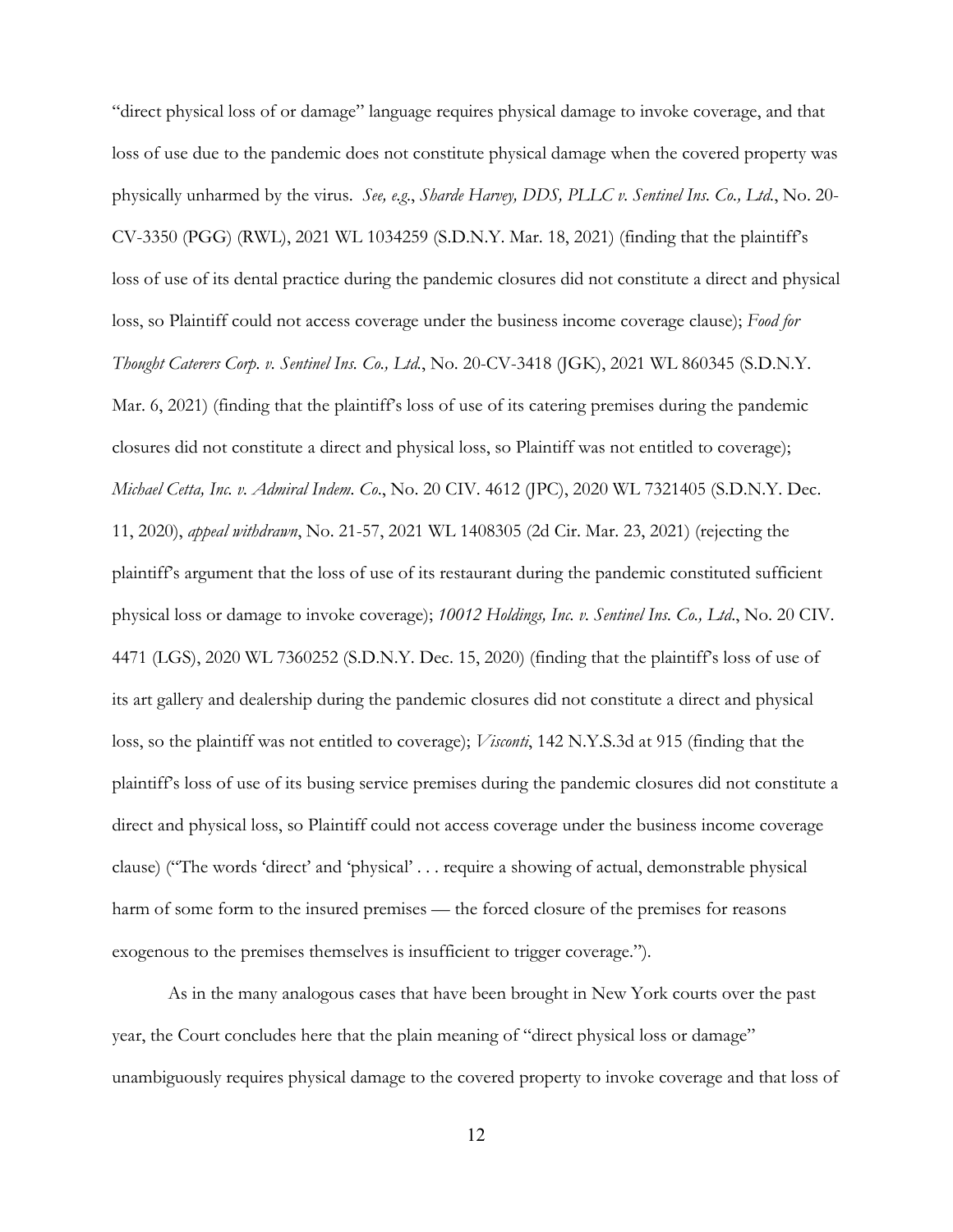"direct physical loss of or damage" language requires physical damage to invoke coverage, and that loss of use due to the pandemic does not constitute physical damage when the covered property was physically unharmed by the virus. *See, e.g*., *Sharde Harvey, DDS, PLLC v. Sentinel Ins. Co., Ltd.*, No. 20- CV-3350 (PGG) (RWL), 2021 WL 1034259 (S.D.N.Y. Mar. 18, 2021) (finding that the plaintiff's loss of use of its dental practice during the pandemic closures did not constitute a direct and physical loss, so Plaintiff could not access coverage under the business income coverage clause); *Food for Thought Caterers Corp. v. Sentinel Ins. Co., Ltd.*, No. 20-CV-3418 (JGK), 2021 WL 860345 (S.D.N.Y. Mar. 6, 2021) (finding that the plaintiff's loss of use of its catering premises during the pandemic closures did not constitute a direct and physical loss, so Plaintiff was not entitled to coverage); *Michael Cetta, Inc. v. Admiral Indem. Co*., No. 20 CIV. 4612 (JPC), 2020 WL 7321405 (S.D.N.Y. Dec. 11, 2020), *appeal withdrawn*, No. 21-57, 2021 WL 1408305 (2d Cir. Mar. 23, 2021) (rejecting the plaintiff's argument that the loss of use of its restaurant during the pandemic constituted sufficient physical loss or damage to invoke coverage); *10012 Holdings, Inc. v. Sentinel Ins. Co., Ltd*., No. 20 CIV. 4471 (LGS), 2020 WL 7360252 (S.D.N.Y. Dec. 15, 2020) (finding that the plaintiff's loss of use of its art gallery and dealership during the pandemic closures did not constitute a direct and physical loss, so the plaintiff was not entitled to coverage); *Visconti*, 142 N.Y.S.3d at 915 (finding that the plaintiff's loss of use of its busing service premises during the pandemic closures did not constitute a direct and physical loss, so Plaintiff could not access coverage under the business income coverage clause) ("The words 'direct' and 'physical' . . . require a showing of actual, demonstrable physical harm of some form to the insured premises — the forced closure of the premises for reasons exogenous to the premises themselves is insufficient to trigger coverage.").

 As in the many analogous cases that have been brought in New York courts over the past year, the Court concludes here that the plain meaning of "direct physical loss or damage" unambiguously requires physical damage to the covered property to invoke coverage and that loss of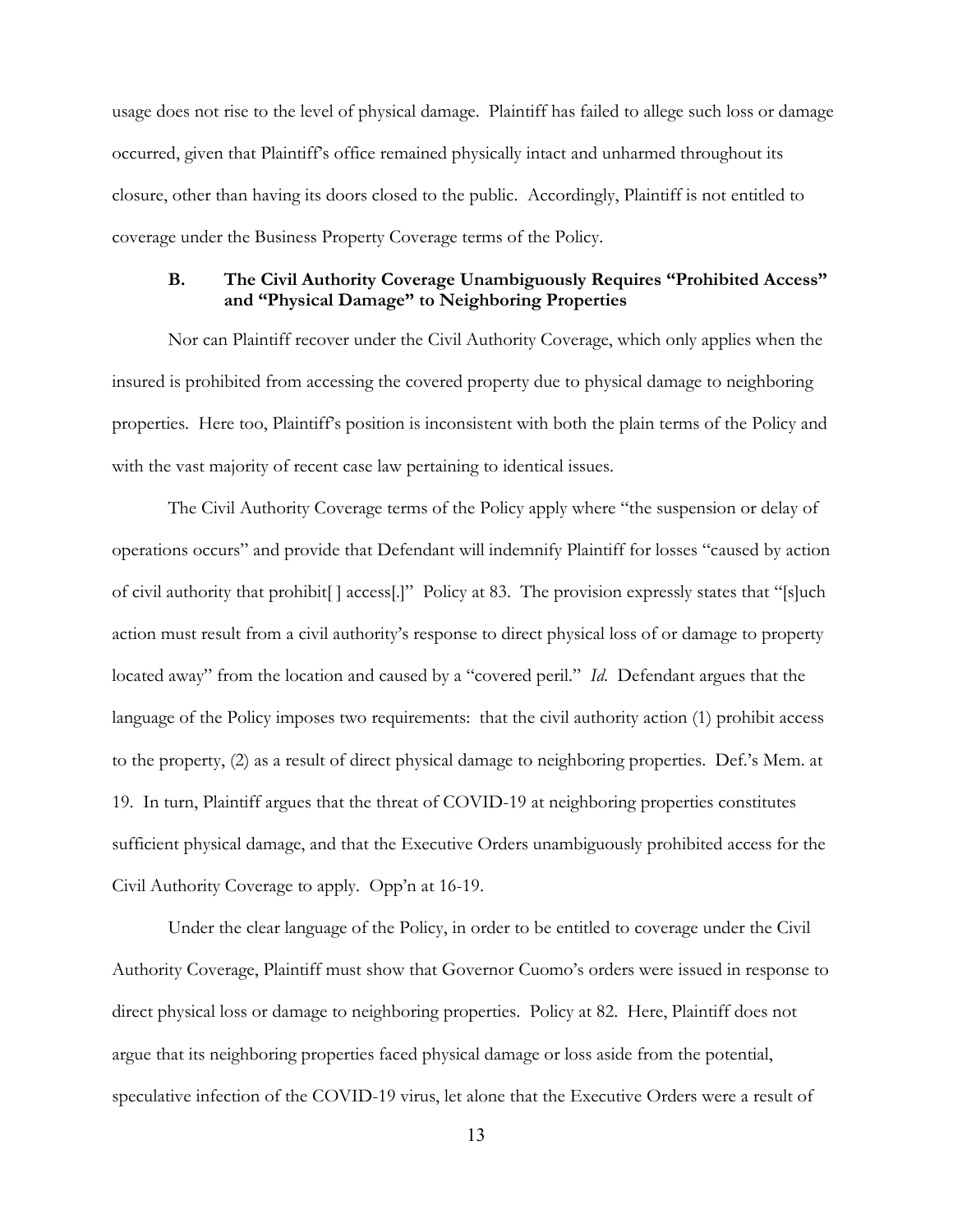usage does not rise to the level of physical damage. Plaintiff has failed to allege such loss or damage occurred, given that Plaintiff's office remained physically intact and unharmed throughout its closure, other than having its doors closed to the public. Accordingly, Plaintiff is not entitled to coverage under the Business Property Coverage terms of the Policy.

## **B. The Civil Authority Coverage Unambiguously Requires "Prohibited Access" and "Physical Damage" to Neighboring Properties**

 Nor can Plaintiff recover under the Civil Authority Coverage, which only applies when the insured is prohibited from accessing the covered property due to physical damage to neighboring properties. Here too, Plaintiff's position is inconsistent with both the plain terms of the Policy and with the vast majority of recent case law pertaining to identical issues.

The Civil Authority Coverage terms of the Policy apply where "the suspension or delay of operations occurs" and provide that Defendant will indemnify Plaintiff for losses "caused by action of civil authority that prohibit[ ] access[.]" Policy at 83. The provision expressly states that "[s]uch action must result from a civil authority's response to direct physical loss of or damage to property located away" from the location and caused by a "covered peril." *Id*. Defendant argues that the language of the Policy imposes two requirements: that the civil authority action (1) prohibit access to the property, (2) as a result of direct physical damage to neighboring properties. Def.'s Mem. at 19. In turn, Plaintiff argues that the threat of COVID-19 at neighboring properties constitutes sufficient physical damage, and that the Executive Orders unambiguously prohibited access for the Civil Authority Coverage to apply. Opp'n at 16-19.

Under the clear language of the Policy, in order to be entitled to coverage under the Civil Authority Coverage, Plaintiff must show that Governor Cuomo's orders were issued in response to direct physical loss or damage to neighboring properties. Policy at 82. Here, Plaintiff does not argue that its neighboring properties faced physical damage or loss aside from the potential, speculative infection of the COVID-19 virus, let alone that the Executive Orders were a result of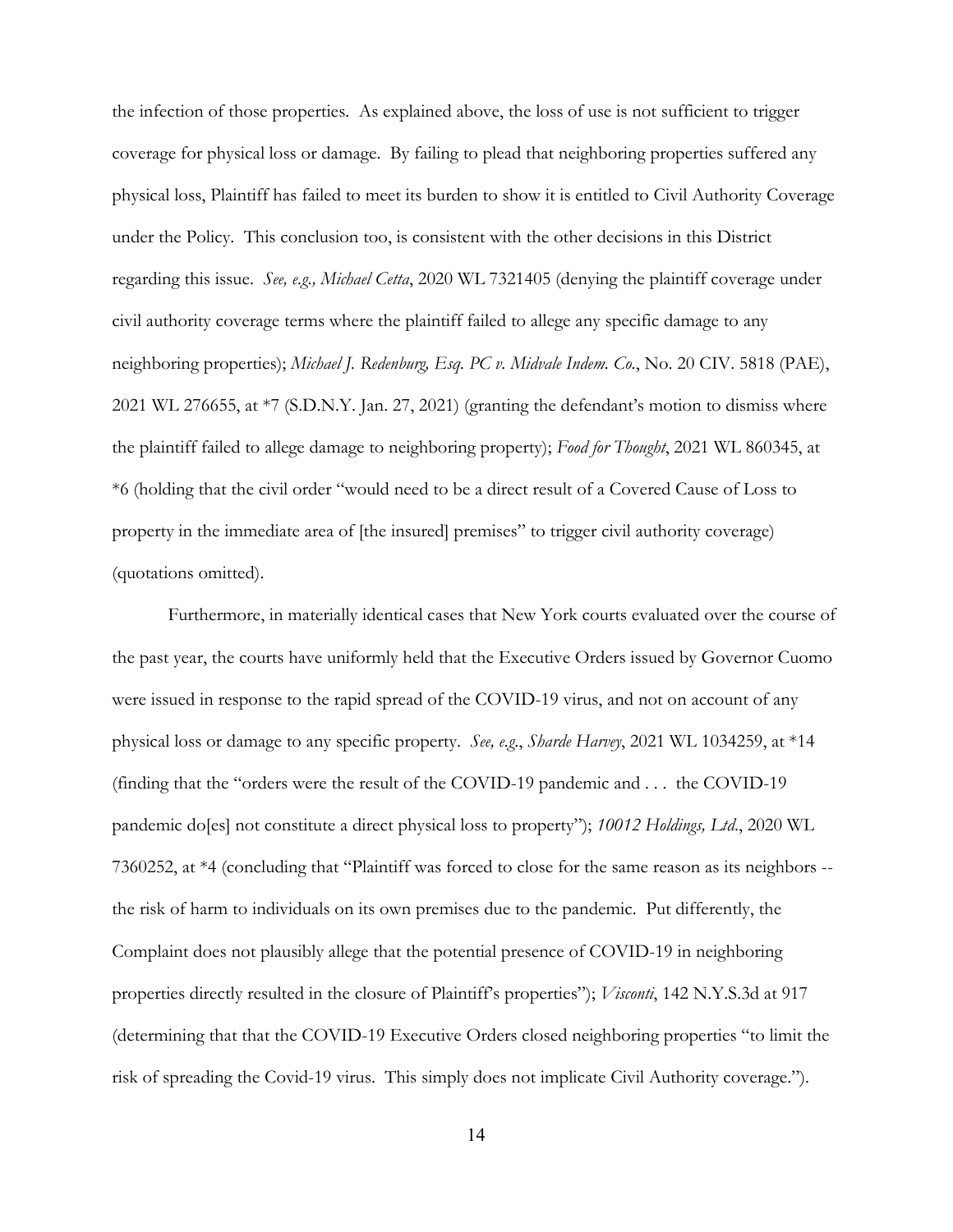the infection of those properties. As explained above, the loss of use is not sufficient to trigger coverage for physical loss or damage. By failing to plead that neighboring properties suffered any physical loss, Plaintiff has failed to meet its burden to show it is entitled to Civil Authority Coverage under the Policy. This conclusion too, is consistent with the other decisions in this District regarding this issue. *See, e.g., Michael Cetta*, 2020 WL 7321405 (denying the plaintiff coverage under civil authority coverage terms where the plaintiff failed to allege any specific damage to any neighboring properties); *Michael J. Redenburg, Esq. PC v. Midvale Indem. Co.*, No. 20 CIV. 5818 (PAE), 2021 WL 276655, at \*7 (S.D.N.Y. Jan. 27, 2021) (granting the defendant's motion to dismiss where the plaintiff failed to allege damage to neighboring property); *Food for Thought*, 2021 WL 860345, at \*6 (holding that the civil order "would need to be a direct result of a Covered Cause of Loss to property in the immediate area of [the insured] premises" to trigger civil authority coverage) (quotations omitted).

 Furthermore, in materially identical cases that New York courts evaluated over the course of the past year, the courts have uniformly held that the Executive Orders issued by Governor Cuomo were issued in response to the rapid spread of the COVID-19 virus, and not on account of any physical loss or damage to any specific property. *See, e.g*., *Sharde Harvey*, 2021 WL 1034259, at \*14 (finding that the "orders were the result of the COVID-19 pandemic and . . . the COVID-19 pandemic do[es] not constitute a direct physical loss to property"); *10012 Holdings, Ltd*., 2020 WL 7360252, at \*4 (concluding that "Plaintiff was forced to close for the same reason as its neighbors - the risk of harm to individuals on its own premises due to the pandemic. Put differently, the Complaint does not plausibly allege that the potential presence of COVID-19 in neighboring properties directly resulted in the closure of Plaintiff's properties"); *Visconti*, 142 N.Y.S.3d at 917 (determining that that the COVID-19 Executive Orders closed neighboring properties "to limit the risk of spreading the Covid-19 virus. This simply does not implicate Civil Authority coverage.").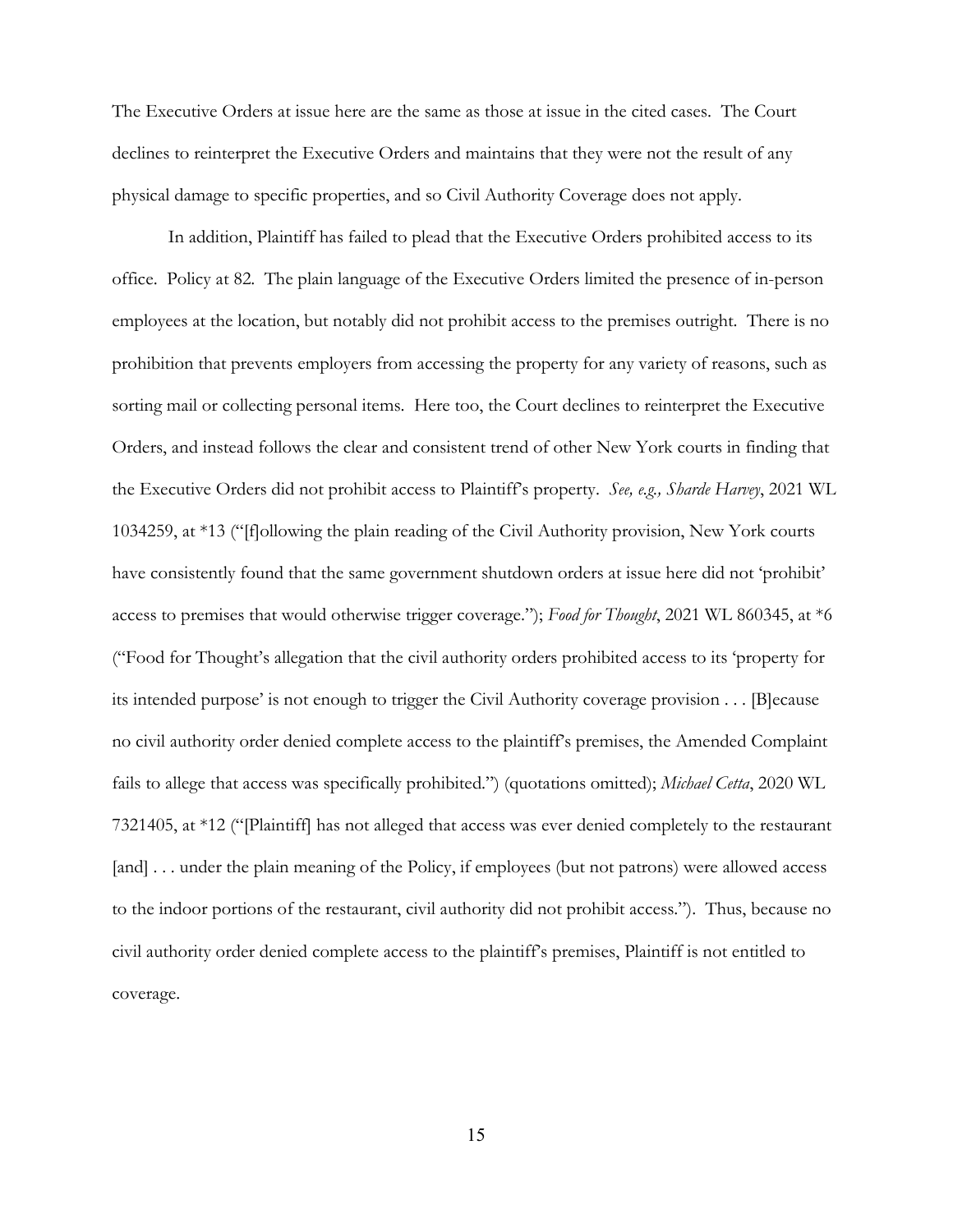The Executive Orders at issue here are the same as those at issue in the cited cases. The Court declines to reinterpret the Executive Orders and maintains that they were not the result of any physical damage to specific properties, and so Civil Authority Coverage does not apply.

 In addition, Plaintiff has failed to plead that the Executive Orders prohibited access to its office. Policy at 82. The plain language of the Executive Orders limited the presence of in-person employees at the location, but notably did not prohibit access to the premises outright. There is no prohibition that prevents employers from accessing the property for any variety of reasons, such as sorting mail or collecting personal items. Here too, the Court declines to reinterpret the Executive Orders, and instead follows the clear and consistent trend of other New York courts in finding that the Executive Orders did not prohibit access to Plaintiff's property. *See, e.g., Sharde Harvey*, 2021 WL 1034259, at \*13 ("[f]ollowing the plain reading of the Civil Authority provision, New York courts have consistently found that the same government shutdown orders at issue here did not 'prohibit' access to premises that would otherwise trigger coverage."); *Food for Thought*, 2021 WL 860345, at \*6 ("Food for Thought's allegation that the civil authority orders prohibited access to its 'property for its intended purpose' is not enough to trigger the Civil Authority coverage provision . . . [B]ecause no civil authority order denied complete access to the plaintiff's premises, the Amended Complaint fails to allege that access was specifically prohibited.") (quotations omitted); *Michael Cetta*, 2020 WL 7321405, at \*12 ("[Plaintiff] has not alleged that access was ever denied completely to the restaurant [and] . . . under the plain meaning of the Policy, if employees (but not patrons) were allowed access to the indoor portions of the restaurant, civil authority did not prohibit access."). Thus, because no civil authority order denied complete access to the plaintiff's premises, Plaintiff is not entitled to coverage.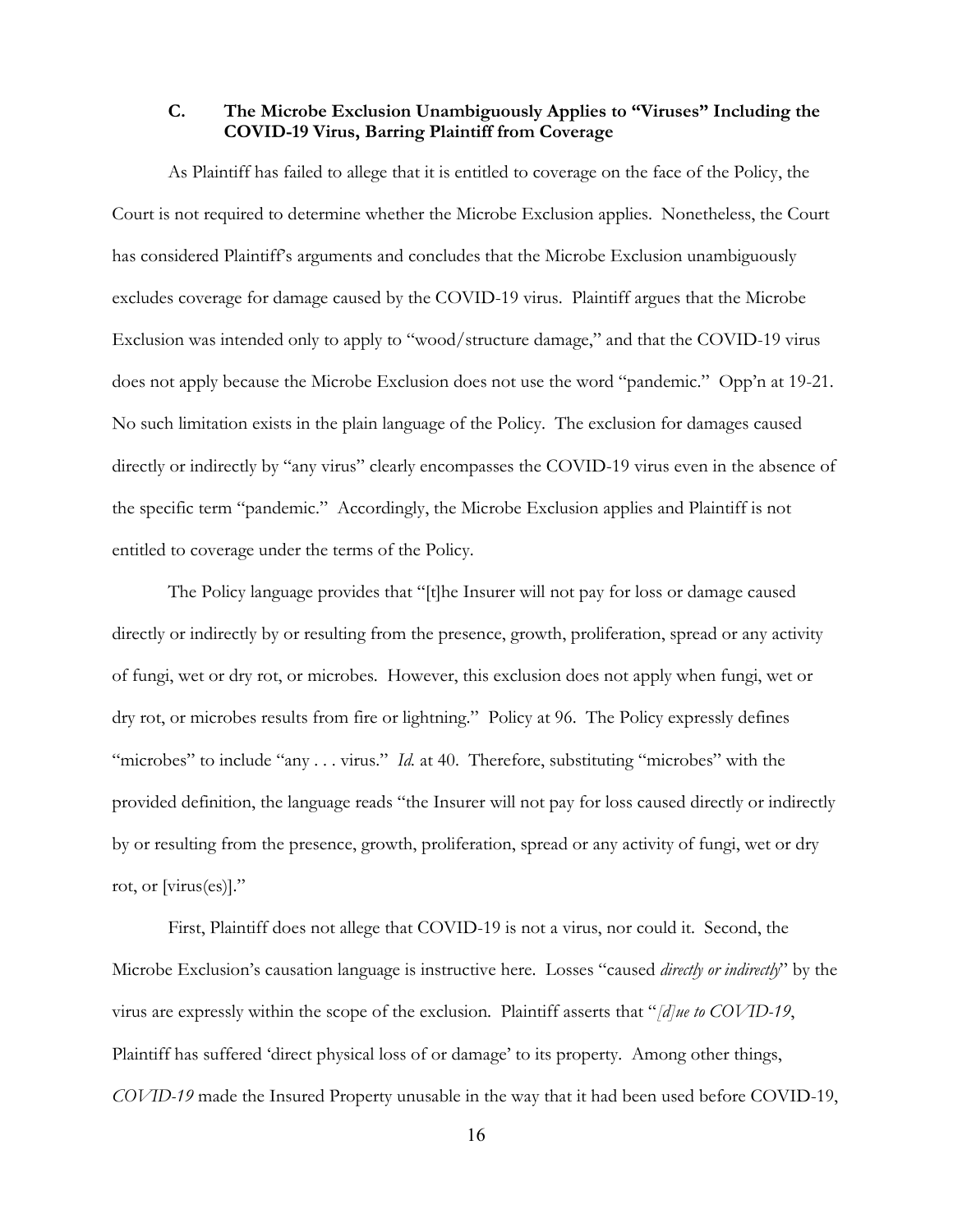**C. The Microbe Exclusion Unambiguously Applies to "Viruses" Including the COVID-19 Virus, Barring Plaintiff from Coverage**

As Plaintiff has failed to allege that it is entitled to coverage on the face of the Policy, the Court is not required to determine whether the Microbe Exclusion applies. Nonetheless, the Court has considered Plaintiff's arguments and concludes that the Microbe Exclusion unambiguously excludes coverage for damage caused by the COVID-19 virus. Plaintiff argues that the Microbe Exclusion was intended only to apply to "wood/structure damage," and that the COVID-19 virus does not apply because the Microbe Exclusion does not use the word "pandemic." Opp'n at 19-21. No such limitation exists in the plain language of the Policy. The exclusion for damages caused directly or indirectly by "any virus" clearly encompasses the COVID-19 virus even in the absence of the specific term "pandemic." Accordingly, the Microbe Exclusion applies and Plaintiff is not entitled to coverage under the terms of the Policy.

 The Policy language provides that "[t]he Insurer will not pay for loss or damage caused directly or indirectly by or resulting from the presence, growth, proliferation, spread or any activity of fungi, wet or dry rot, or microbes. However, this exclusion does not apply when fungi, wet or dry rot, or microbes results from fire or lightning." Policy at 96. The Policy expressly defines "microbes" to include "any . . . virus." *Id.* at 40. Therefore, substituting "microbes" with the provided definition, the language reads "the Insurer will not pay for loss caused directly or indirectly by or resulting from the presence, growth, proliferation, spread or any activity of fungi, wet or dry rot, or [virus(es)]."

First, Plaintiff does not allege that COVID-19 is not a virus, nor could it. Second, the Microbe Exclusion's causation language is instructive here. Losses "caused *directly or indirectly*" by the virus are expressly within the scope of the exclusion. Plaintiff asserts that "*[d]ue to COVID-19*, Plaintiff has suffered 'direct physical loss of or damage' to its property. Among other things, *COVID-19* made the Insured Property unusable in the way that it had been used before COVID-19,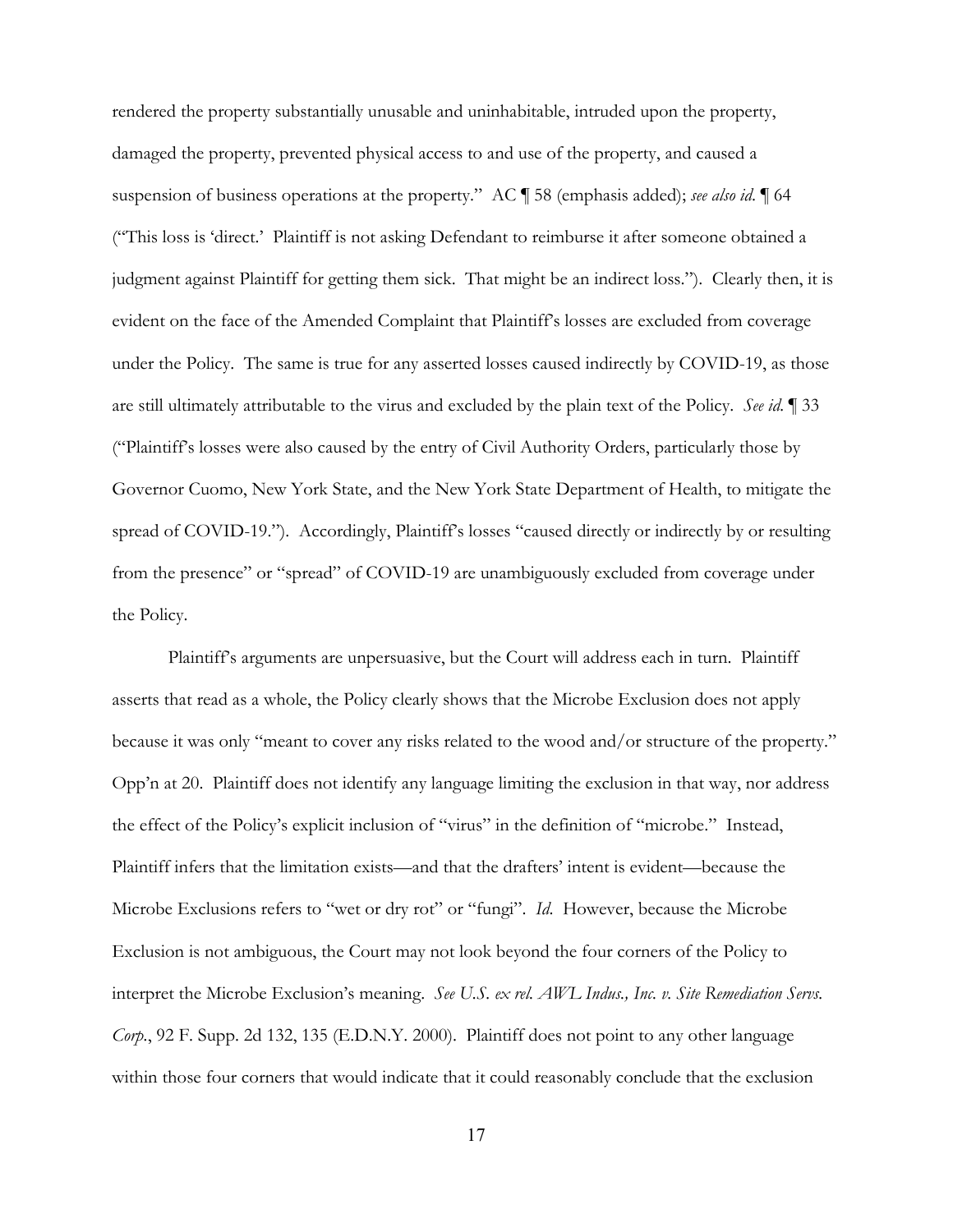rendered the property substantially unusable and uninhabitable, intruded upon the property, damaged the property, prevented physical access to and use of the property, and caused a suspension of business operations at the property." AC ¶ 58 (emphasis added); *see also id*. ¶ 64 ("This loss is 'direct.' Plaintiff is not asking Defendant to reimburse it after someone obtained a judgment against Plaintiff for getting them sick. That might be an indirect loss."). Clearly then, it is evident on the face of the Amended Complaint that Plaintiff's losses are excluded from coverage under the Policy. The same is true for any asserted losses caused indirectly by COVID-19, as those are still ultimately attributable to the virus and excluded by the plain text of the Policy. *See id.* ¶ 33 ("Plaintiff's losses were also caused by the entry of Civil Authority Orders, particularly those by Governor Cuomo, New York State, and the New York State Department of Health, to mitigate the spread of COVID-19."). Accordingly, Plaintiff's losses "caused directly or indirectly by or resulting from the presence" or "spread" of COVID-19 are unambiguously excluded from coverage under the Policy.

Plaintiff's arguments are unpersuasive, but the Court will address each in turn. Plaintiff asserts that read as a whole, the Policy clearly shows that the Microbe Exclusion does not apply because it was only "meant to cover any risks related to the wood and/or structure of the property." Opp'n at 20. Plaintiff does not identify any language limiting the exclusion in that way, nor address the effect of the Policy's explicit inclusion of "virus" in the definition of "microbe." Instead, Plaintiff infers that the limitation exists—and that the drafters' intent is evident—because the Microbe Exclusions refers to "wet or dry rot" or "fungi". *Id*. However, because the Microbe Exclusion is not ambiguous, the Court may not look beyond the four corners of the Policy to interpret the Microbe Exclusion's meaning. *See U.S. ex rel. AWL Indus., Inc. v. Site Remediation Servs. Corp.*, 92 F. Supp. 2d 132, 135 (E.D.N.Y. 2000). Plaintiff does not point to any other language within those four corners that would indicate that it could reasonably conclude that the exclusion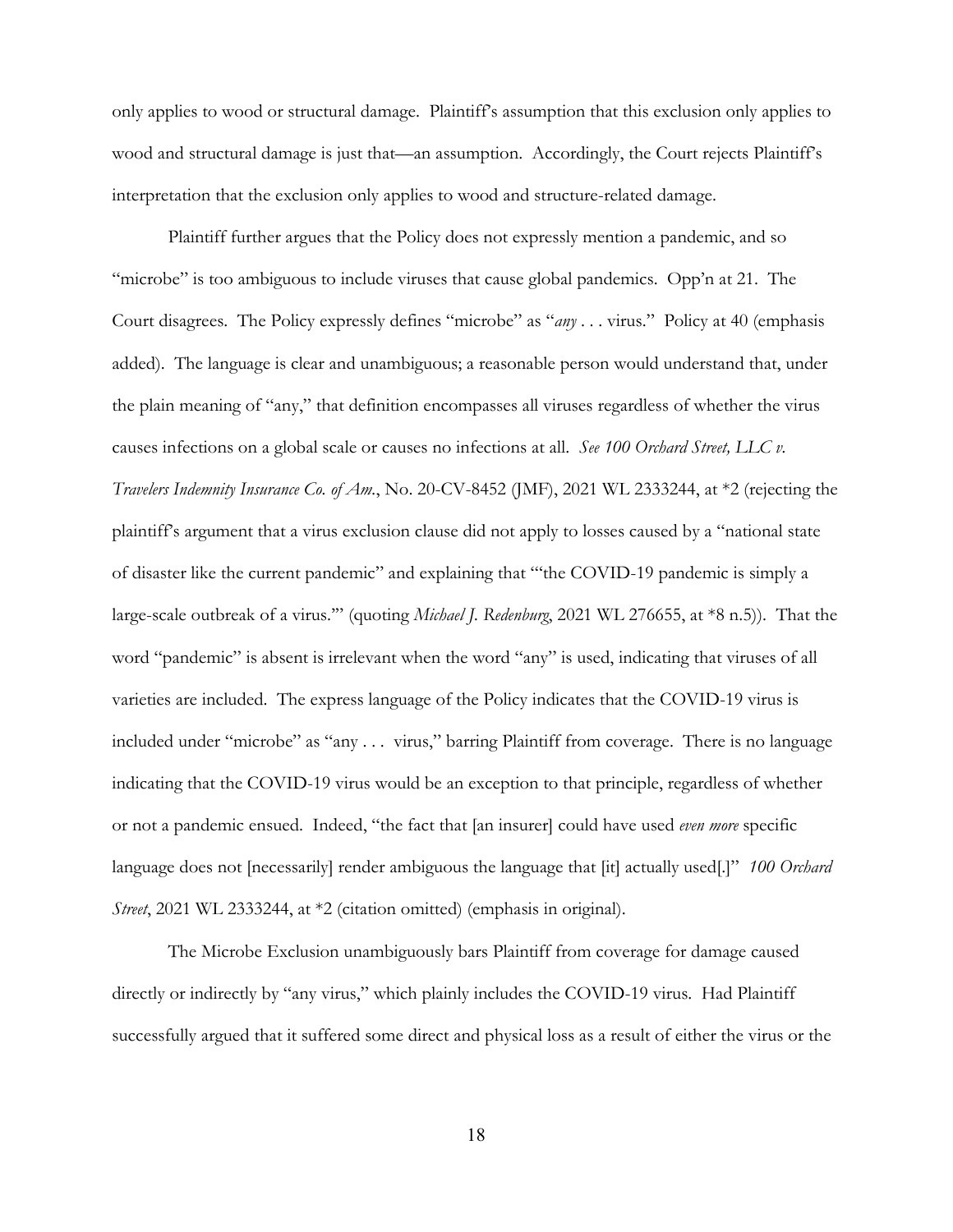only applies to wood or structural damage. Plaintiff's assumption that this exclusion only applies to wood and structural damage is just that—an assumption. Accordingly, the Court rejects Plaintiff's interpretation that the exclusion only applies to wood and structure-related damage.

Plaintiff further argues that the Policy does not expressly mention a pandemic, and so "microbe" is too ambiguous to include viruses that cause global pandemics. Opp'n at 21. The Court disagrees. The Policy expressly defines "microbe" as "*any* . . . virus." Policy at 40 (emphasis added). The language is clear and unambiguous; a reasonable person would understand that, under the plain meaning of "any," that definition encompasses all viruses regardless of whether the virus causes infections on a global scale or causes no infections at all. *See 100 Orchard Street, LLC v. Travelers Indemnity Insurance Co. of Am.*, No. 20-CV-8452 (JMF), 2021 WL 2333244, at \*2 (rejecting the plaintiff's argument that a virus exclusion clause did not apply to losses caused by a "national state of disaster like the current pandemic" and explaining that "'the COVID-19 pandemic is simply a large-scale outbreak of a virus.'" (quoting *Michael J. Redenburg*, 2021 WL 276655, at \*8 n.5)). That the word "pandemic" is absent is irrelevant when the word "any" is used, indicating that viruses of all varieties are included. The express language of the Policy indicates that the COVID-19 virus is included under "microbe" as "any . . . virus," barring Plaintiff from coverage. There is no language indicating that the COVID-19 virus would be an exception to that principle, regardless of whether or not a pandemic ensued. Indeed, "the fact that [an insurer] could have used *even more* specific language does not [necessarily] render ambiguous the language that [it] actually used[.]" *100 Orchard Street*, 2021 WL 2333244, at \*2 (citation omitted) (emphasis in original).

 The Microbe Exclusion unambiguously bars Plaintiff from coverage for damage caused directly or indirectly by "any virus," which plainly includes the COVID-19 virus. Had Plaintiff successfully argued that it suffered some direct and physical loss as a result of either the virus or the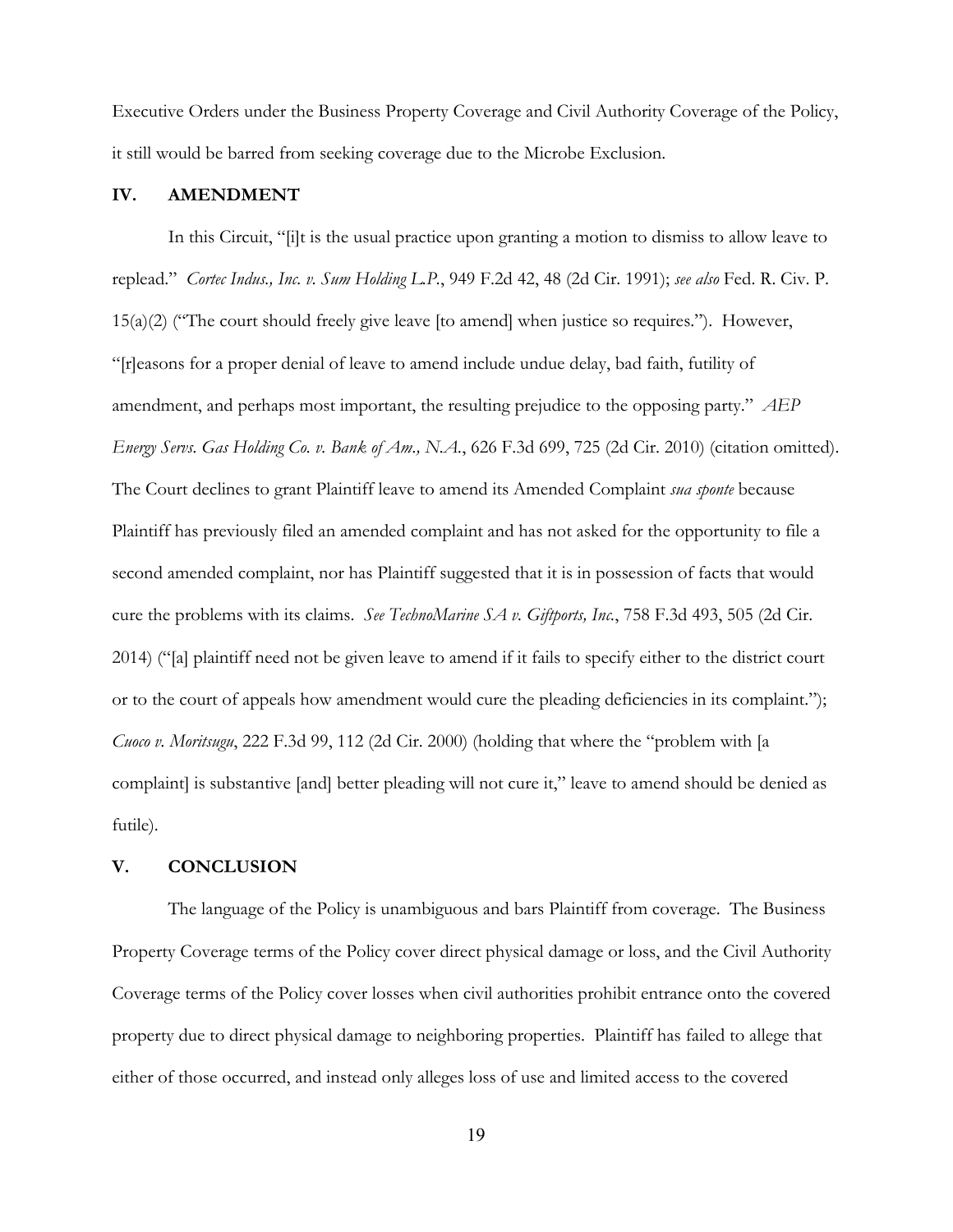Executive Orders under the Business Property Coverage and Civil Authority Coverage of the Policy, it still would be barred from seeking coverage due to the Microbe Exclusion.

#### **IV. AMENDMENT**

In this Circuit, "[i]t is the usual practice upon granting a motion to dismiss to allow leave to replead." *Cortec Indus., Inc. v. Sum Holding L.P.*, 949 F.2d 42, 48 (2d Cir. 1991); *see also* Fed. R. Civ. P.  $15(a)(2)$  ("The court should freely give leave [to amend] when justice so requires."). However, "[r]easons for a proper denial of leave to amend include undue delay, bad faith, futility of amendment, and perhaps most important, the resulting prejudice to the opposing party." *AEP Energy Servs. Gas Holding Co. v. Bank of Am., N.A.*, 626 F.3d 699, 725 (2d Cir. 2010) (citation omitted). The Court declines to grant Plaintiff leave to amend its Amended Complaint *sua sponte* because Plaintiff has previously filed an amended complaint and has not asked for the opportunity to file a second amended complaint, nor has Plaintiff suggested that it is in possession of facts that would cure the problems with its claims. *See TechnoMarine SA v. Giftports, Inc.*, 758 F.3d 493, 505 (2d Cir. 2014) ("[a] plaintiff need not be given leave to amend if it fails to specify either to the district court or to the court of appeals how amendment would cure the pleading deficiencies in its complaint."); *Cuoco v. Moritsugu*, 222 F.3d 99, 112 (2d Cir. 2000) (holding that where the "problem with [a complaint] is substantive [and] better pleading will not cure it," leave to amend should be denied as futile).

#### **V. CONCLUSION**

The language of the Policy is unambiguous and bars Plaintiff from coverage. The Business Property Coverage terms of the Policy cover direct physical damage or loss, and the Civil Authority Coverage terms of the Policy cover losses when civil authorities prohibit entrance onto the covered property due to direct physical damage to neighboring properties. Plaintiff has failed to allege that either of those occurred, and instead only alleges loss of use and limited access to the covered